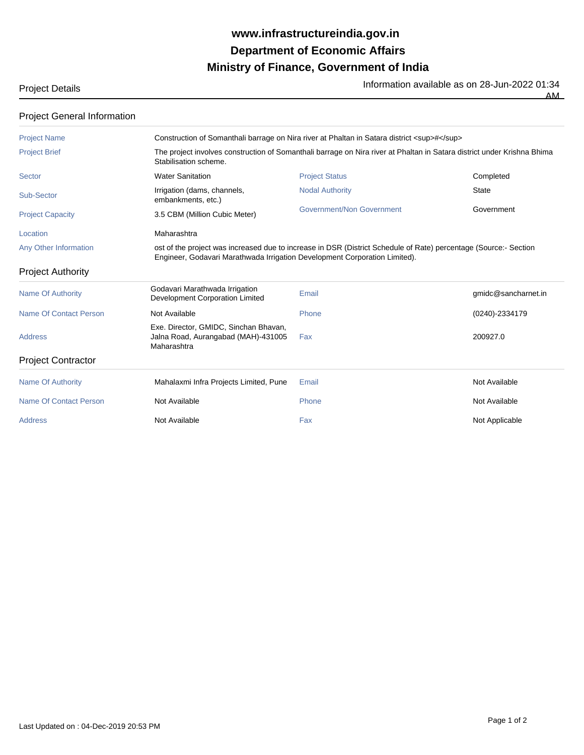## **Ministry of Finance, Government of India Department of Economic Affairs www.infrastructureindia.gov.in**

Project Details **Information available as on 28-Jun-2022 01:34**<br>The Information available as on 28-Jun-2022 01:34

AM

| <b>Project General Information</b> |                                                                                                                                                  |                                                                                                                  |                     |  |
|------------------------------------|--------------------------------------------------------------------------------------------------------------------------------------------------|------------------------------------------------------------------------------------------------------------------|---------------------|--|
| <b>Project Name</b>                | Construction of Somanthali barrage on Nira river at Phaltan in Satara district <sup>#</sup>                                                      |                                                                                                                  |                     |  |
| <b>Project Brief</b>               | The project involves construction of Somanthali barrage on Nira river at Phaltan in Satara district under Krishna Bhima<br>Stabilisation scheme. |                                                                                                                  |                     |  |
| Sector                             | <b>Water Sanitation</b>                                                                                                                          | <b>Project Status</b>                                                                                            | Completed           |  |
| Sub-Sector                         | Irrigation (dams, channels,<br>embankments, etc.)                                                                                                | <b>Nodal Authority</b>                                                                                           | <b>State</b>        |  |
| <b>Project Capacity</b>            | 3.5 CBM (Million Cubic Meter)                                                                                                                    | Government/Non Government                                                                                        | Government          |  |
| Location                           | Maharashtra                                                                                                                                      |                                                                                                                  |                     |  |
| Any Other Information              | Engineer, Godavari Marathwada Irrigation Development Corporation Limited).                                                                       | ost of the project was increased due to increase in DSR (District Schedule of Rate) percentage (Source:- Section |                     |  |
| <b>Project Authority</b>           |                                                                                                                                                  |                                                                                                                  |                     |  |
| <b>Name Of Authority</b>           | Godavari Marathwada Irrigation<br>Development Corporation Limited                                                                                | Email                                                                                                            | gmidc@sancharnet.in |  |
| <b>Name Of Contact Person</b>      | Not Available                                                                                                                                    | Phone                                                                                                            | (0240)-2334179      |  |
| <b>Address</b>                     | Exe. Director, GMIDC, Sinchan Bhavan,<br>Jalna Road, Aurangabad (MAH)-431005<br>Maharashtra                                                      | Fax                                                                                                              | 200927.0            |  |
| <b>Project Contractor</b>          |                                                                                                                                                  |                                                                                                                  |                     |  |
| <b>Name Of Authority</b>           | Mahalaxmi Infra Projects Limited, Pune                                                                                                           | Email                                                                                                            | Not Available       |  |
| Name Of Contact Person             | Not Available                                                                                                                                    | Phone                                                                                                            | Not Available       |  |
| <b>Address</b>                     | Not Available                                                                                                                                    | Fax                                                                                                              | Not Applicable      |  |